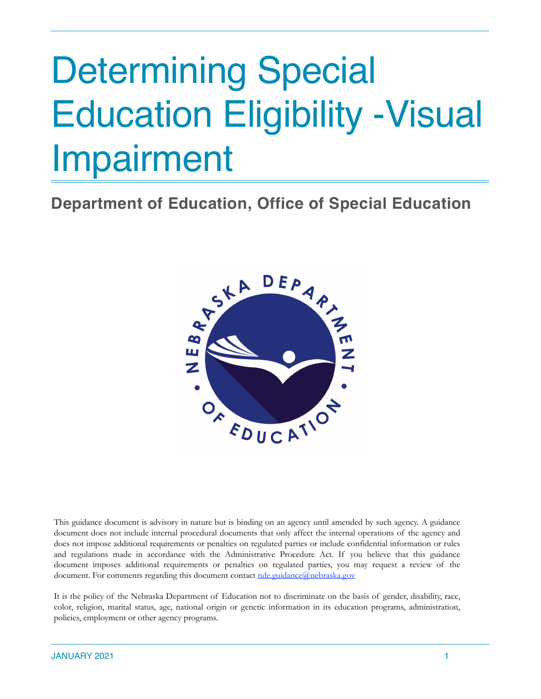# Determining Special Education Eligibility -Visual Impairment

**Department of Education, Office of Special Education**



This guidance document is advisory in nature but is binding on an agency until amended by such agency. A guidance document does not include internal procedural documents that only affect the internal operations of the agency and does not impose additional requirements or penalties on regulated parties or include confidential information or rules and regulations made in accordance with the Administrative Procedure Act. If you believe that this guidance document imposes additional requirements or penalties on regulated parties, you may request a review of the document. For comments regarding this document contact [nde.guidance@nebraska.gov](mailto:nde.guidance@nebraska.gov)

It is the policy of the Nebraska Department of Education not to discriminate on the basis of gender, disability, race, color, religion, marital status, age, national origin or genetic information in its education programs, administration, policies, employment or other agency programs.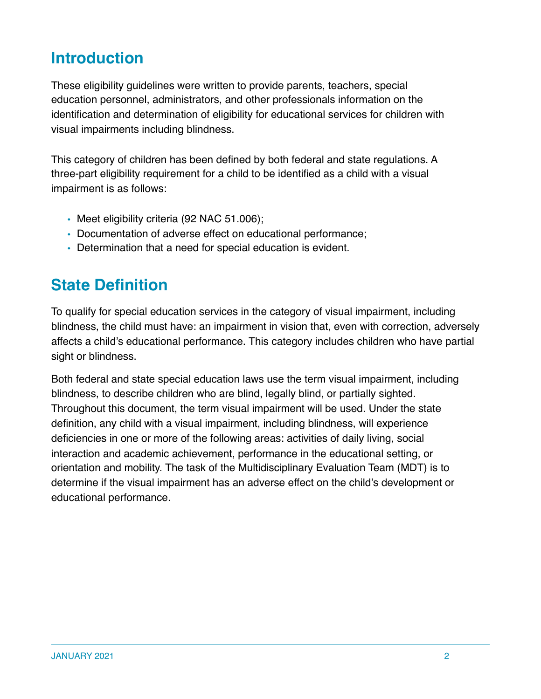### **Introduction**

These eligibility guidelines were written to provide parents, teachers, special education personnel, administrators, and other professionals information on the identification and determination of eligibility for educational services for children with visual impairments including blindness.

This category of children has been defined by both federal and state regulations. A three-part eligibility requirement for a child to be identified as a child with a visual impairment is as follows:

- Meet eligibility criteria (92 NAC 51.006);
- Documentation of adverse effect on educational performance;
- Determination that a need for special education is evident.

### **State Definition**

To qualify for special education services in the category of visual impairment, including blindness, the child must have: an impairment in vision that, even with correction, adversely affects a child's educational performance. This category includes children who have partial sight or blindness.

Both federal and state special education laws use the term visual impairment, including blindness, to describe children who are blind, legally blind, or partially sighted. Throughout this document, the term visual impairment will be used. Under the state definition, any child with a visual impairment, including blindness, will experience deficiencies in one or more of the following areas: activities of daily living, social interaction and academic achievement, performance in the educational setting, or orientation and mobility. The task of the Multidisciplinary Evaluation Team (MDT) is to determine if the visual impairment has an adverse effect on the child's development or educational performance.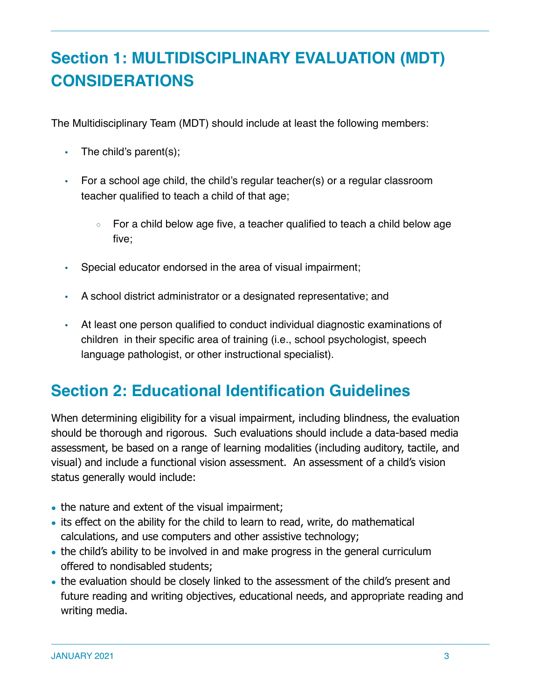# **Section 1: MULTIDISCIPLINARY EVALUATION (MDT) CONSIDERATIONS**

The Multidisciplinary Team (MDT) should include at least the following members:

- The child's parent(s);
- For a school age child, the child's regular teacher(s) or a regular classroom teacher qualified to teach a child of that age;
	- For a child below age five, a teacher qualified to teach a child below age five;
- Special educator endorsed in the area of visual impairment;
- A school district administrator or a designated representative; and
- At least one person qualified to conduct individual diagnostic examinations of children in their specific area of training (i.e., school psychologist, speech language pathologist, or other instructional specialist).

### **Section 2: Educational Identification Guidelines**

When determining eligibility for a visual impairment, including blindness, the evaluation should be thorough and rigorous. Such evaluations should include a data-based media assessment, be based on a range of learning modalities (including auditory, tactile, and visual) and include a functional vision assessment. An assessment of a child's vision status generally would include:

- the nature and extent of the visual impairment;
- its effect on the ability for the child to learn to read, write, do mathematical calculations, and use computers and other assistive technology;
- the child's ability to be involved in and make progress in the general curriculum offered to nondisabled students;
- the evaluation should be closely linked to the assessment of the child's present and future reading and writing objectives, educational needs, and appropriate reading and writing media.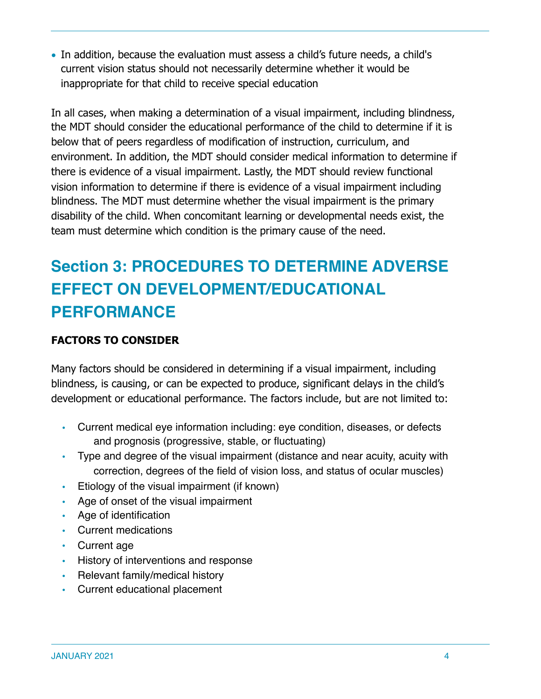• In addition, because the evaluation must assess a child's future needs, a child's current vision status should not necessarily determine whether it would be inappropriate for that child to receive special education

In all cases, when making a determination of a visual impairment, including blindness, the MDT should consider the educational performance of the child to determine if it is below that of peers regardless of modification of instruction, curriculum, and environment. In addition, the MDT should consider medical information to determine if there is evidence of a visual impairment. Lastly, the MDT should review functional vision information to determine if there is evidence of a visual impairment including blindness. The MDT must determine whether the visual impairment is the primary disability of the child. When concomitant learning or developmental needs exist, the team must determine which condition is the primary cause of the need.

## **Section 3: PROCEDURES TO DETERMINE ADVERSE EFFECT ON DEVELOPMENT/EDUCATIONAL PERFORMANCE**

### **FACTORS TO CONSIDER**

Many factors should be considered in determining if a visual impairment, including blindness, is causing, or can be expected to produce, significant delays in the child's development or educational performance. The factors include, but are not limited to:

- Current medical eye information including: eye condition, diseases, or defects and prognosis (progressive, stable, or fluctuating)
- Type and degree of the visual impairment (distance and near acuity, acuity with correction, degrees of the field of vision loss, and status of ocular muscles)
- Etiology of the visual impairment (if known)
- Age of onset of the visual impairment
- Age of identification
- Current medications
- Current age
- History of interventions and response
- Relevant family/medical history
- Current educational placement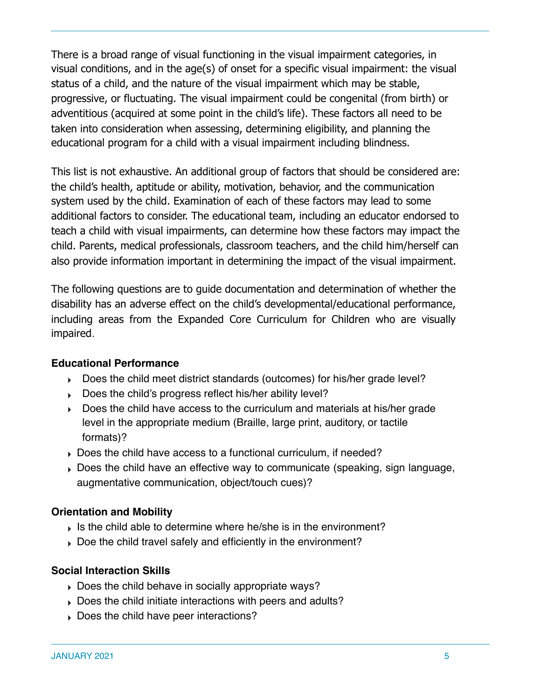There is a broad range of visual functioning in the visual impairment categories, in visual conditions, and in the age(s) of onset for a specific visual impairment: the visual status of a child, and the nature of the visual impairment which may be stable, progressive, or fluctuating. The visual impairment could be congenital (from birth) or adventitious (acquired at some point in the child's life). These factors all need to be taken into consideration when assessing, determining eligibility, and planning the educational program for a child with a visual impairment including blindness.

This list is not exhaustive. An additional group of factors that should be considered are: the child's health, aptitude or ability, motivation, behavior, and the communication system used by the child. Examination of each of these factors may lead to some additional factors to consider. The educational team, including an educator endorsed to teach a child with visual impairments, can determine how these factors may impact the child. Parents, medical professionals, classroom teachers, and the child him/herself can also provide information important in determining the impact of the visual impairment.

The following questions are to guide documentation and determination of whether the disability has an adverse effect on the child's developmental/educational performance, including areas from the Expanded Core Curriculum for Children who are visually impaired.

#### **Educational Performance**

- ‣ Does the child meet district standards (outcomes) for his/her grade level?
- ‣ Does the child's progress reflect his/her ability level?
- ‣ Does the child have access to the curriculum and materials at his/her grade level in the appropriate medium (Braille, large print, auditory, or tactile formats)?
- ‣ Does the child have access to a functional curriculum, if needed?
- ‣ Does the child have an effective way to communicate (speaking, sign language, augmentative communication, object/touch cues)?

### **Orientation and Mobility**

- $\triangleright$  Is the child able to determine where he/she is in the environment?
- ‣ Doe the child travel safely and efficiently in the environment?

### **Social Interaction Skills**

- ‣ Does the child behave in socially appropriate ways?
- ‣ Does the child initiate interactions with peers and adults?
- ‣ Does the child have peer interactions?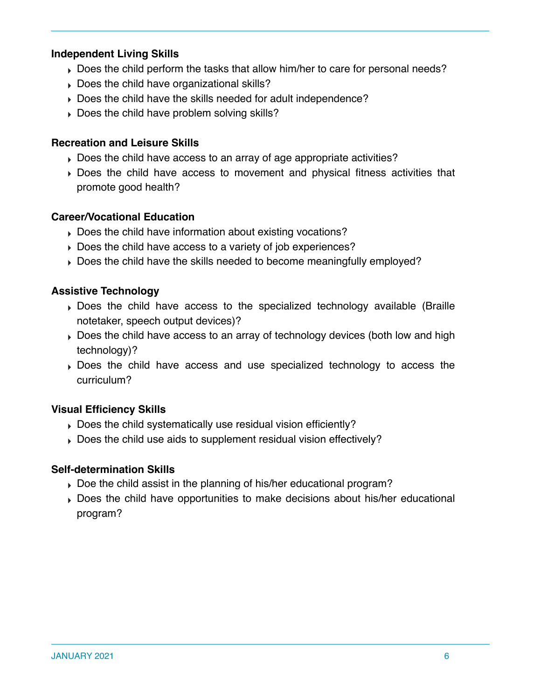### **Independent Living Skills**

- ‣ Does the child perform the tasks that allow him/her to care for personal needs?
- ‣ Does the child have organizational skills?
- ‣ Does the child have the skills needed for adult independence?
- ‣ Does the child have problem solving skills?

#### **Recreation and Leisure Skills**

- ‣ Does the child have access to an array of age appropriate activities?
- ‣ Does the child have access to movement and physical fitness activities that promote good health?

#### **Career/Vocational Education**

- ‣ Does the child have information about existing vocations?
- ‣ Does the child have access to a variety of job experiences?
- ‣ Does the child have the skills needed to become meaningfully employed?

#### **Assistive Technology**

- ‣ Does the child have access to the specialized technology available (Braille notetaker, speech output devices)?
- ‣ Does the child have access to an array of technology devices (both low and high technology)?
- ‣ Does the child have access and use specialized technology to access the curriculum?

### **Visual Efficiency Skills**

- ‣ Does the child systematically use residual vision efficiently?
- ‣ Does the child use aids to supplement residual vision effectively?

#### **Self-determination Skills**

- ‣ Doe the child assist in the planning of his/her educational program?
- ‣ Does the child have opportunities to make decisions about his/her educational program?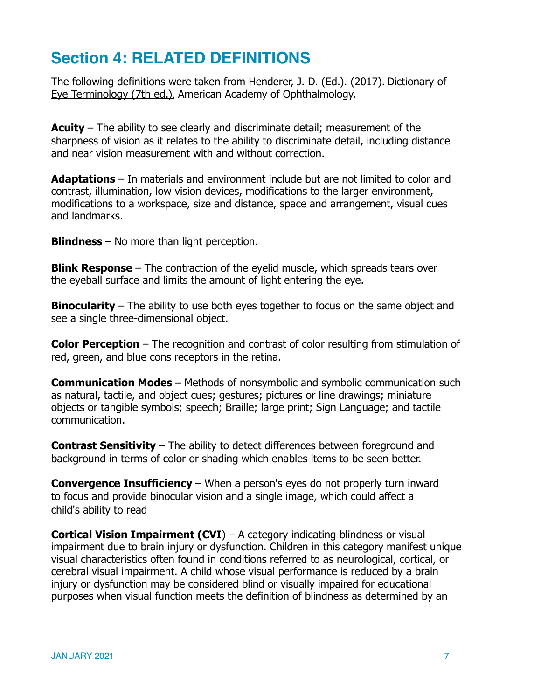### **Section 4: RELATED DEFINITIONS**

The following definitions were taken from Henderer, J. D. (Ed.). (2017). Dictionary of Eye Terminology (7th ed.)*.* American Academy of Ophthalmology.

**Acuity** – The ability to see clearly and discriminate detail; measurement of the sharpness of vision as it relates to the ability to discriminate detail, including distance and near vision measurement with and without correction.

**Adaptations** – In materials and environment include but are not limited to color and contrast, illumination, low vision devices, modifications to the larger environment, modifications to a workspace, size and distance, space and arrangement, visual cues and landmarks.

**Blindness** – No more than light perception.

**Blink Response** – The contraction of the eyelid muscle, which spreads tears over the eyeball surface and limits the amount of light entering the eye.

**Binocularity** – The ability to use both eyes together to focus on the same object and see a single three-dimensional object.

**Color Perception** – The recognition and contrast of color resulting from stimulation of red, green, and blue cons receptors in the retina.

**Communication Modes** – Methods of nonsymbolic and symbolic communication such as natural, tactile, and object cues; gestures; pictures or line drawings; miniature objects or tangible symbols; speech; Braille; large print; Sign Language; and tactile communication.

**Contrast Sensitivity** – The ability to detect differences between foreground and background in terms of color or shading which enables items to be seen better.

**Convergence Insufficiency** – When a person's eyes do not properly turn inward to focus and provide binocular vision and a single image, which could affect a child's ability to read

**Cortical Vision Impairment (CVI)** – A category indicating blindness or visual impairment due to brain injury or dysfunction. Children in this category manifest unique visual characteristics often found in conditions referred to as neurological, cortical, or cerebral visual impairment. A child whose visual performance is reduced by a brain injury or dysfunction may be considered blind or visually impaired for educational purposes when visual function meets the definition of blindness as determined by an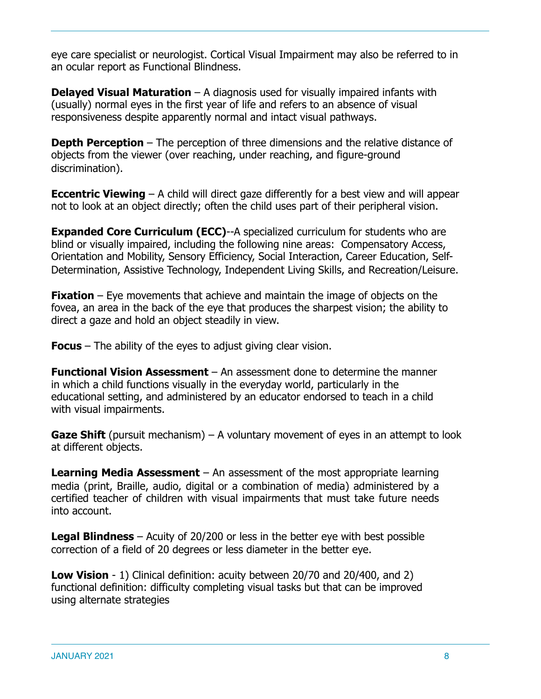eye care specialist or neurologist. Cortical Visual Impairment may also be referred to in an ocular report as Functional Blindness.

**Delayed Visual Maturation** – A diagnosis used for visually impaired infants with (usually) normal eyes in the first year of life and refers to an absence of visual responsiveness despite apparently normal and intact visual pathways.

**Depth Perception** – The perception of three dimensions and the relative distance of objects from the viewer (over reaching, under reaching, and figure-ground discrimination).

**Eccentric Viewing** – A child will direct gaze differently for a best view and will appear not to look at an object directly; often the child uses part of their peripheral vision.

**Expanded Core Curriculum (ECC)--A specialized curriculum for students who are** blind or visually impaired, including the following nine areas: Compensatory Access, Orientation and Mobility, Sensory Efficiency, Social Interaction, Career Education, Self-Determination, Assistive Technology, Independent Living Skills, and Recreation/Leisure.

**Fixation** – Eye movements that achieve and maintain the image of objects on the fovea, an area in the back of the eye that produces the sharpest vision; the ability to direct a gaze and hold an object steadily in view.

**Focus** – The ability of the eyes to adjust giving clear vision.

**Functional Vision Assessment** – An assessment done to determine the manner in which a child functions visually in the everyday world, particularly in the educational setting, and administered by an educator endorsed to teach in a child with visual impairments.

**Gaze Shift** (pursuit mechanism) – A voluntary movement of eyes in an attempt to look at different objects.

**Learning Media Assessment** – An assessment of the most appropriate learning media (print, Braille, audio, digital or a combination of media) administered by a certified teacher of children with visual impairments that must take future needs into account.

**Legal Blindness** – Acuity of 20/200 or less in the better eye with best possible correction of a field of 20 degrees or less diameter in the better eye.

**Low Vision** - 1) Clinical definition: acuity between 20/70 and 20/400, and 2) functional definition: difficulty completing visual tasks but that can be improved using alternate strategies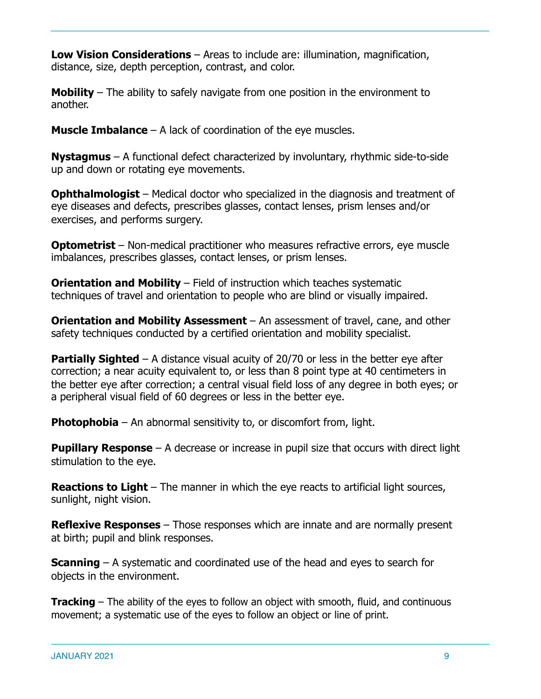**Low Vision Considerations** – Areas to include are: illumination, magnification, distance, size, depth perception, contrast, and color.

**Mobility** – The ability to safely navigate from one position in the environment to another.

**Muscle Imbalance** – A lack of coordination of the eye muscles.

**Nystagmus** – A functional defect characterized by involuntary, rhythmic side-to-side up and down or rotating eye movements.

**Ophthalmologist** – Medical doctor who specialized in the diagnosis and treatment of eye diseases and defects, prescribes glasses, contact lenses, prism lenses and/or exercises, and performs surgery.

**Optometrist** – Non-medical practitioner who measures refractive errors, eye muscle imbalances, prescribes glasses, contact lenses, or prism lenses.

**Orientation and Mobility** – Field of instruction which teaches systematic techniques of travel and orientation to people who are blind or visually impaired.

**Orientation and Mobility Assessment** – An assessment of travel, cane, and other safety techniques conducted by a certified orientation and mobility specialist.

**Partially Sighted** – A distance visual acuity of 20/70 or less in the better eye after correction; a near acuity equivalent to, or less than 8 point type at 40 centimeters in the better eye after correction; a central visual field loss of any degree in both eyes; or a peripheral visual field of 60 degrees or less in the better eye.

**Photophobia** – An abnormal sensitivity to, or discomfort from, light.

**Pupillary Response** – A decrease or increase in pupil size that occurs with direct light stimulation to the eye.

**Reactions to Light** – The manner in which the eye reacts to artificial light sources, sunlight, night vision.

**Reflexive Responses** – Those responses which are innate and are normally present at birth; pupil and blink responses.

**Scanning** – A systematic and coordinated use of the head and eyes to search for objects in the environment.

**Tracking** – The ability of the eyes to follow an object with smooth, fluid, and continuous movement; a systematic use of the eyes to follow an object or line of print.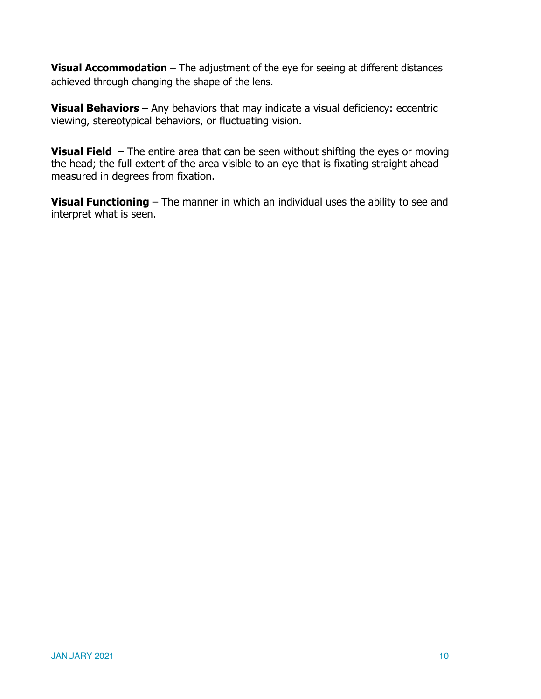**Visual Accommodation** – The adjustment of the eye for seeing at different distances achieved through changing the shape of the lens.

**Visual Behaviors** – Any behaviors that may indicate a visual deficiency: eccentric viewing, stereotypical behaviors, or fluctuating vision.

**Visual Field** – The entire area that can be seen without shifting the eyes or moving the head; the full extent of the area visible to an eye that is fixating straight ahead measured in degrees from fixation.

**Visual Functioning** – The manner in which an individual uses the ability to see and interpret what is seen.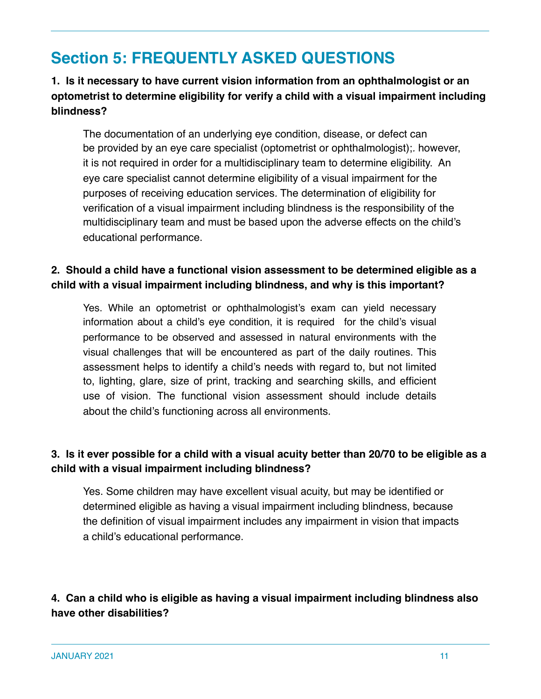### **Section 5: FREQUENTLY ASKED QUESTIONS**

### **1. Is it necessary to have current vision information from an ophthalmologist or an optometrist to determine eligibility for verify a child with a visual impairment including blindness?**

The documentation of an underlying eye condition, disease, or defect can be provided by an eye care specialist (optometrist or ophthalmologist);*.* however, it is not required in order for a multidisciplinary team to determine eligibility. An eye care specialist cannot determine eligibility of a visual impairment for the purposes of receiving education services*.* The determination of eligibility for verification of a visual impairment including blindness is the responsibility of the multidisciplinary team and must be based upon the adverse effects on the child's educational performance.

### **2. Should a child have a functional vision assessment to be determined eligible as a child with a visual impairment including blindness, and why is this important?**

Yes. While an optometrist or ophthalmologist's exam can yield necessary information about a child's eye condition, it is required for the child's visual performance to be observed and assessed in natural environments with the visual challenges that will be encountered as part of the daily routines. This assessment helps to identify a child's needs with regard to, but not limited to, lighting, glare, size of print, tracking and searching skills, and efficient use of vision. The functional vision assessment should include details about the child's functioning across all environments.

### **3. Is it ever possible for a child with a visual acuity better than 20/70 to be eligible as a child with a visual impairment including blindness?**

Yes. Some children may have excellent visual acuity, but may be identified or determined eligible as having a visual impairment including blindness, because the definition of visual impairment includes any impairment in vision that impacts a child's educational performance.

### **4. Can a child who is eligible as having a visual impairment including blindness also have other disabilities?**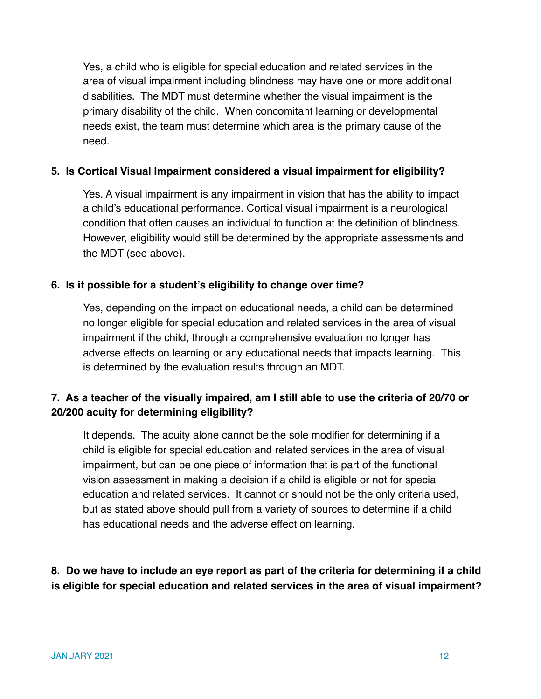Yes, a child who is eligible for special education and related services in the area of visual impairment including blindness may have one or more additional disabilities. The MDT must determine whether the visual impairment is the primary disability of the child. When concomitant learning or developmental needs exist, the team must determine which area is the primary cause of the need.

### **5. Is Cortical Visual Impairment considered a visual impairment for eligibility?**

Yes. A visual impairment is any impairment in vision that has the ability to impact a child's educational performance. Cortical visual impairment is a neurological condition that often causes an individual to function at the definition of blindness. However, eligibility would still be determined by the appropriate assessments and the MDT (see above).

### **6. Is it possible for a student's eligibility to change over time?**

Yes, depending on the impact on educational needs, a child can be determined no longer eligible for special education and related services in the area of visual impairment if the child, through a comprehensive evaluation no longer has adverse effects on learning or any educational needs that impacts learning. This is determined by the evaluation results through an MDT.

### **7. As a teacher of the visually impaired, am I still able to use the criteria of 20/70 or 20/200 acuity for determining eligibility?**

It depends. The acuity alone cannot be the sole modifier for determining if a child is eligible for special education and related services in the area of visual impairment, but can be one piece of information that is part of the functional vision assessment in making a decision if a child is eligible or not for special education and related services. It cannot or should not be the only criteria used, but as stated above should pull from a variety of sources to determine if a child has educational needs and the adverse effect on learning.

### **8. Do we have to include an eye report as part of the criteria for determining if a child is eligible for special education and related services in the area of visual impairment?**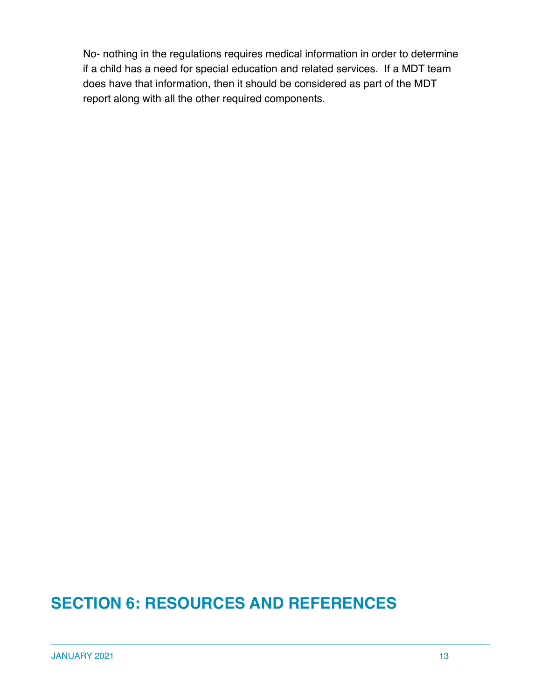No- nothing in the regulations requires medical information in order to determine if a child has a need for special education and related services. If a MDT team does have that information, then it should be considered as part of the MDT report along with all the other required components.

### **SECTION 6: RESOURCES AND REFERENCES**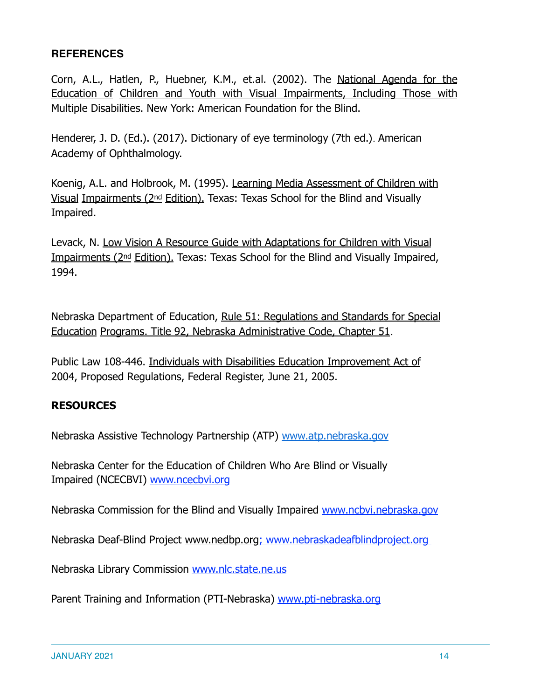### **REFERENCES**

Corn, A.L., Hatlen, P., Huebner, K.M., et.al. (2002). The National Agenda for the Education of Children and Youth with Visual Impairments, Including Those with Multiple Disabilities. New York: American Foundation for the Blind.

Henderer, J. D. (Ed.). (2017). Dictionary of eye terminology (7th ed.)*.* American Academy of Ophthalmology.

Koenig, A.L. and Holbrook, M. (1995). Learning Media Assessment of Children with Visual Impairments (2nd Edition). Texas: Texas School for the Blind and Visually Impaired.

Levack, N. Low Vision A Resource Guide with Adaptations for Children with Visual Impairments (2nd Edition). Texas: Texas School for the Blind and Visually Impaired, 1994.

Nebraska Department of Education, Rule 51: Regulations and Standards for Special Education Programs. Title 92, Nebraska Administrative Code, Chapter 51.

Public Law 108-446. Individuals with Disabilities Education Improvement Act of 2004, Proposed Regulations, Federal Register, June 21, 2005.

### **RESOURCES**

Nebraska Assistive Technology Partnership (ATP) www.atp.nebraska.gov

Nebraska Center for the Education of Children Who Are Blind or Visually Impaired (NCECBVI) www.ncecbvi.org

Nebraska Commission for the Blind and Visually Impaired www.ncbvi.nebraska.gov

Nebraska Deaf-Blind Project [www.nedbp.org](http://www.nedbp.org); www.nebraskadeafblindproject.org

Nebraska Library Commission www.nlc.state.ne.us

Parent Training and Information (PTI-Nebraska) www.pti-nebraska.org